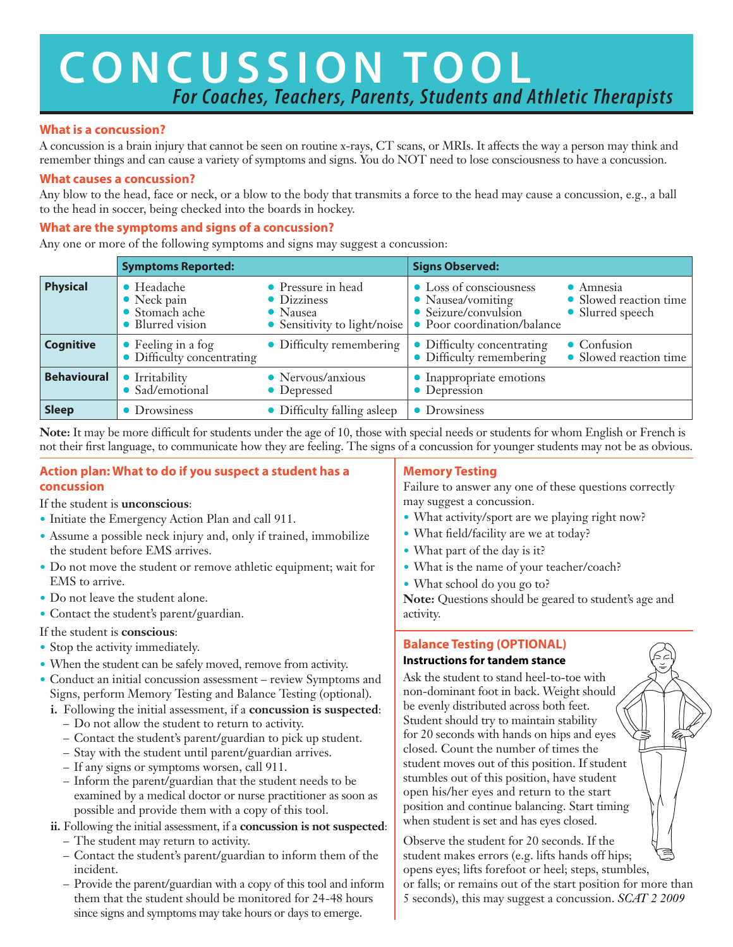# **CONCUSSION TOOL** *For Coaches, Teachers, Parents, Students and Athletic Therapists*

### **What is a concussion?**

A concussion is a brain injury that cannot be seen on routine x-rays, CT scans, or MRIs. It affects the way a person may think and remember things and can cause a variety of symptoms and signs. You do NOT need to lose consciousness to have a concussion.

### **What causes a concussion?**

Any blow to the head, face or neck, or a blow to the body that transmits a force to the head may cause a concussion, e.g., a ball to the head in soccer, being checked into the boards in hockey.

### **What are the symptoms and signs of a concussion?**

Any one or more of the following symptoms and signs may suggest a concussion:

|                    | <b>Symptoms Reported:</b>                                               |                                                                               | <b>Signs Observed:</b>                                                                              |                                                                 |
|--------------------|-------------------------------------------------------------------------|-------------------------------------------------------------------------------|-----------------------------------------------------------------------------------------------------|-----------------------------------------------------------------|
| <b>Physical</b>    | • Headache<br>$\bullet$ Neck pain<br>• Stomach ache<br>• Blurred vision | • Pressure in head<br>• Dizziness<br>• Nausea<br>• Sensitivity to light/noise | • Loss of consciousness<br>• Nausea/vomiting<br>• Seizure/convulsion<br>• Poor coordination/balance | $\bullet$ Amnesia<br>• Slowed reaction time<br>• Slurred speech |
| <b>Cognitive</b>   | • Feeling in a fog<br>$\bullet$ Difficulty concentrating                | • Difficulty remembering                                                      | • Difficulty concentrating<br>$\bullet$ Difficulty remembering                                      | $\bullet$ Confusion<br>• Slowed reaction time                   |
| <b>Behavioural</b> | • Irritability<br>• Sad/emotional                                       | • Nervous/anxious<br>• Depressed                                              | • Inappropriate emotions<br>• Depression                                                            |                                                                 |
| <b>Sleep</b>       | • Drowsiness                                                            | • Difficulty falling asleep                                                   | • Drowsiness                                                                                        |                                                                 |

**Note:** It may be more difficult for students under the age of 10, those with special needs or students for whom English or French is not their first language, to communicate how they are feeling. The signs of a concussion for younger students may not be as obvious.

### **Action plan: What to do if you suspect a student has a concussion**

### If the student is **unconscious**:

- **•** Initiate the Emergency Action Plan and call 911.
- Assume a possible neck injury and, only if trained, immobilize the student before EMS arrives.
- **•** Do not move the student or remove athletic equipment; wait for EMS to arrive.
- **•** Do not leave the student alone.
- **•** Contact the student's parent/guardian.

### If the student is **conscious**:

- Stop the activity immediately.
- When the student can be safely moved, remove from activity.
- **•** Conduct an initial concussion assessment review Symptoms and Signs, perform Memory Testing and Balance Testing (optional).
	- **i.**  Following the initial assessment, if a **concussion is suspected**:
		- Do not allow the student to return to activity.
		- Contact the student's parent/guardian to pick up student.
		- Stay with the student until parent/guardian arrives.
		- If any signs or symptoms worsen, call 911.
		- Inform the parent/guardian that the student needs to be examined by a medical doctor or nurse practitioner as soon as possible and provide them with a copy of this tool.
	- **ii.** Following the initial assessment, if a **concussion is not suspected**:
		- The student may return to activity.
		- Contact the student's parent/guardian to inform them of the incident.
		- Provide the parent/guardian with a copy of this tool and inform them that the student should be monitored for 24-48 hours since signs and symptoms may take hours or days to emerge.

### **Memory Testing**

Failure to answer any one of these questions correctly may suggest a concussion.

- What activity/sport are we playing right now?
- **•** What field/facility are we at today?
- What part of the day is it?
- What is the name of your teacher/coach?
- **•** What school do you go to?

**Note:** Questions should be geared to student's age and activity.

### **Balance Testing (OPTIONAL)**

### **Instructions for tandem stance**

Ask the student to stand heel-to-toe with non-dominant foot in back. Weight should be evenly distributed across both feet. Student should try to maintain stability for 20 seconds with hands on hips and eyes closed. Count the number of times the student moves out of this position. If student stumbles out of this position, have student open his/her eyes and return to the start position and continue balancing. Start timing when student is set and has eyes closed.

Observe the student for 20 seconds. If the student makes errors (e.g. lifts hands off hips; opens eyes; lifts forefoot or heel; steps, stumbles, or falls; or remains out of the start position for more than 5 seconds), this may suggest a concussion. *SCAT 2 2009*